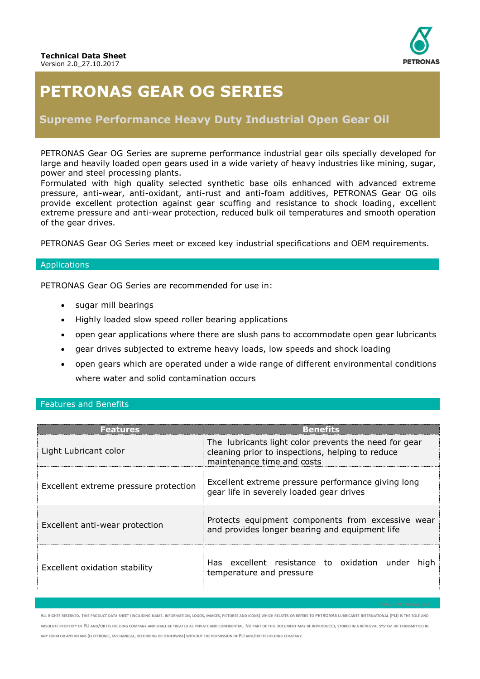

# **PETRONAS GEAR OG SERIES**

## **Supreme Performance Heavy Duty Industrial Open Gear Oil**

PETRONAS Gear OG Series are supreme performance industrial gear oils specially developed for large and heavily loaded open gears used in a wide variety of heavy industries like mining, sugar, power and steel processing plants.

Formulated with high quality selected synthetic base oils enhanced with advanced extreme pressure, anti-wear, anti-oxidant, anti-rust and anti-foam additives, PETRONAS Gear OG oils provide excellent protection against gear scuffing and resistance to shock loading, excellent extreme pressure and anti-wear protection, reduced bulk oil temperatures and smooth operation of the gear drives.

PETRONAS Gear OG Series meet or exceed key industrial specifications and OEM requirements.

#### Applications

PETRONAS Gear OG Series are recommended for use in:

- sugar mill bearings
- Highly loaded slow speed roller bearing applications
- open gear applications where there are slush pans to accommodate open gear lubricants
- gear drives subjected to extreme heavy loads, low speeds and shock loading
- open gears which are operated under a wide range of different environmental conditions where water and solid contamination occurs

### Features and Benefits

| <b>Features</b>                       | <b>Benefits</b>                                                                                                                         |  |  |  |  |  |  |
|---------------------------------------|-----------------------------------------------------------------------------------------------------------------------------------------|--|--|--|--|--|--|
| Light Lubricant color                 | The lubricants light color prevents the need for gear<br>cleaning prior to inspections, helping to reduce<br>maintenance time and costs |  |  |  |  |  |  |
| Excellent extreme pressure protection | Excellent extreme pressure performance giving long<br>gear life in severely loaded gear drives                                          |  |  |  |  |  |  |
| Excellent anti-wear protection        | Protects equipment components from excessive wear<br>and provides longer bearing and equipment life                                     |  |  |  |  |  |  |
| Excellent oxidation stability         | Has excellent resistance to oxidation under<br>high<br>temperature and pressure                                                         |  |  |  |  |  |  |

ALL RIGHTS RESERVED. THIS PRODUCT DATA SHEET (INCLUDING NAME, INFORMATION, LOGOS, IMAGES, PICTURES AND ICONS) WHICH RELATES OR REFERS TO PETRONAS LUBRICANTS INTERNATIONAL (PLI) IS THE SOLE AND ABSOLUTE PROPERTY OF PLI AND/OR ITS HOLDING COMPANY AND SHALL BE TREATED AS PRIVATE AND CONFIDENTIAL. NO PART OF THIS DOCUMENT MAY BE REPRODUCED, STORED IN A RETRIEVAL SYSTEM OR TRANSMITTED IN ANY FORM OR ANY MEANS (ELECTRONIC, MECHANICAL, RECORDING OR OTHERWISE) WITHOUT THE PERMISSION OF PLI AND/OR ITS HOLDING COMPANY.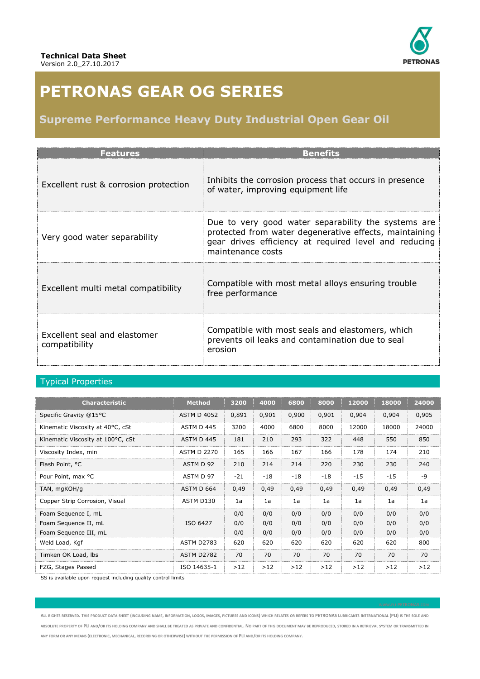

# **PETRONAS GEAR OG SERIES**

## **Supreme Performance Heavy Duty Industrial Open Gear Oil**

| <b>Features</b>                               | <b>Benefits</b>                                                                                                                                                                             |  |  |  |  |  |
|-----------------------------------------------|---------------------------------------------------------------------------------------------------------------------------------------------------------------------------------------------|--|--|--|--|--|
| Excellent rust & corrosion protection         | Inhibits the corrosion process that occurs in presence<br>of water, improving equipment life                                                                                                |  |  |  |  |  |
| Very good water separability                  | Due to very good water separability the systems are<br>protected from water degenerative effects, maintaining<br>gear drives efficiency at required level and reducing<br>maintenance costs |  |  |  |  |  |
| Excellent multi metal compatibility           | Compatible with most metal alloys ensuring trouble<br>free performance                                                                                                                      |  |  |  |  |  |
| Excellent seal and elastomer<br>compatibility | Compatible with most seals and elastomers, which<br>prevents oil leaks and contamination due to seal<br>erosion                                                                             |  |  |  |  |  |

## Typical Properties

| <b>Characteristic</b>             | <b>Method</b>      | 3200  | 4000  | 6800  | 8000  | 12000 | 18000 | 24000 |
|-----------------------------------|--------------------|-------|-------|-------|-------|-------|-------|-------|
| Specific Gravity @15°C            | <b>ASTM D 4052</b> | 0,891 | 0,901 | 0,900 | 0,901 | 0,904 | 0,904 | 0,905 |
| Kinematic Viscosity at 40°C, cSt  | ASTM D 445         | 3200  | 4000  | 6800  | 8000  | 12000 | 18000 | 24000 |
| Kinematic Viscosity at 100°C, cSt | ASTM D 445         | 181   | 210   | 293   | 322   | 448   | 550   | 850   |
| Viscosity Index, min              | <b>ASTM D 2270</b> | 165   | 166   | 167   | 166   | 178   | 174   | 210   |
| Flash Point, °C                   | ASTM D 92          | 210   | 214   | 214   | 220   | 230   | 230   | 240   |
| Pour Point, max °C                | ASTM D 97          | $-21$ | $-18$ | $-18$ | $-18$ | $-15$ | $-15$ | $-9$  |
| TAN, mgKOH/g                      | ASTM D 664         | 0,49  | 0,49  | 0,49  | 0,49  | 0,49  | 0,49  | 0,49  |
| Copper Strip Corrosion, Visual    | ASTM D130          | 1a    | 1a    | 1a    | 1a    | 1a    | 1a    | 1a    |
| Foam Sequence I, mL               |                    | 0/0   | 0/0   | 0/0   | 0/0   | 0/0   | 0/0   | 0/0   |
| Foam Sequence II, mL              | ISO 6427           | 0/0   | 0/0   | 0/0   | 0/0   | 0/0   | 0/0   | 0/0   |
| Foam Sequence III, mL             |                    | 0/0   | 0/0   | 0/0   | 0/0   | 0/0   | 0/0   | 0/0   |
| Weld Load, Kgf                    | <b>ASTM D2783</b>  | 620   | 620   | 620   | 620   | 620   | 620   | 800   |
| Timken OK Load, Ibs               | <b>ASTM D2782</b>  | 70    | 70    | 70    | 70    | 70    | 70    | 70    |
| FZG, Stages Passed                | ISO 14635-1        | >12   | >12   | >12   | >12   | >12   | >12   | >12   |

SS is available upon request including quality control limits

ALL RIGHTS RESERVED. THIS PRODUCT DATA SHEET (INCLUDING NAME, INFORMATION, LOGOS, IMAGES, PICTURES AND ICONS) WHICH RELATES OR REFERS TO PETRONAS LUBRICANTS INTERNATIONAL (PLI) IS THE SOLE AND ABSOLUTE PROPERTY OF PLI AND/OR ITS HOLDING COMPANY AND SHALL BE TREATED AS PRIVATE AND CONFIDENTIAL. NO PART OF THIS DOCUMENT MAY BE REPRODUCED, STORED IN A RETRIEVAL SYSTEM OR TRANSMITTED IN ANY FORM OR ANY MEANS (ELECTRONIC, MECHANICAL, RECORDING OR OTHERWISE) WITHOUT THE PERMISSION OF PLI AND/OR ITS HOLDING COMPANY.